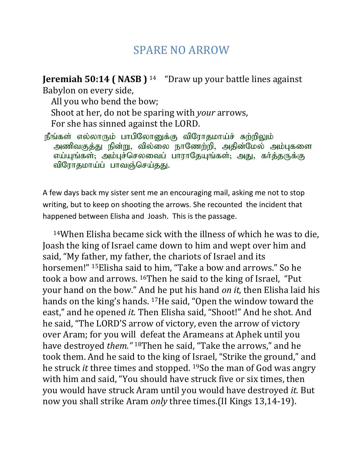## SPARE NO ARROW

**Jeremiah 50:14 ( NASB )** <sup>14</sup> "Draw up your battle lines against Babylon on every side,

 All you who bend the bow; Shoot at her, do not be sparing with *your* arrows, For she has sinned against the LORD.

நீங்கள் எல்லாரும் பாபிலோனுக்கு விரோதமாய்ச் சுற்றிலும் அணிவகுத்து நின்று, வில்லை நாணேற்றி, அதின்மேல் அம்புகளை எய்யுங்கள்; அம்புச்செலவைப் பாராதேயுங்கள்; அது, கா்த்தருக்கு விரோதமாய்ப் பாவஞ்செய்தது.

A few days back my sister sent me an encouraging mail, asking me not to stop writing, but to keep on shooting the arrows. She recounted the incident that happened between Elisha and Joash. This is the passage.

<sup>14</sup>When Elisha became sick with the illness of which he was to die, Joash the king of Israel came down to him and wept over him and said, "My father, my father, the chariots of Israel and its horsemen!" <sup>15</sup>Elisha said to him, "Take a bow and arrows." So he took a bow and arrows. <sup>16</sup>Then he said to the king of Israel, "Put your hand on the bow." And he put his hand *on it,* then Elisha laid his hands on the king's hands. <sup>17</sup>He said, "Open the window toward the east," and he opened *it.* Then Elisha said, "Shoot!" And he shot. And he said, "The LORD'S arrow of victory, even the arrow of victory over Aram; for you will defeat the Arameans at Aphek until you have destroyed *them."* <sup>18</sup>Then he said, "Take the arrows," and he took them. And he said to the king of Israel, "Strike the ground," and he struck *it* three times and stopped. <sup>19</sup>So the man of God was angry with him and said, "You should have struck five or six times, then you would have struck Aram until you would have destroyed *it.* But now you shall strike Aram *only* three times.(II Kings 13,14-19).